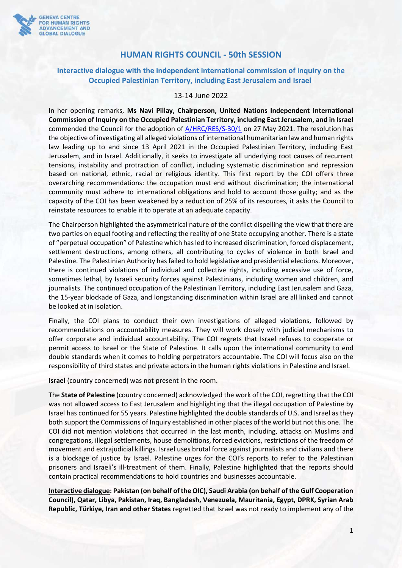

# **HUMAN RIGHTS COUNCIL - 50th SESSION**

## **Interactive dialogue with the independent international commission of inquiry on the Occupied Palestinian Territory, including East Jerusalem and Israel**

#### 13-14 June 2022

In her opening remarks, **[Ms Navi Pillay, Chairperson, United Nations Independent International](https://hrcmeetings.ohchr.org/HRCSessions/HRCDocuments/59/OTH/OTH_2598_83_c5a51530_427c_40a0_aee5_93bd89b81481.docx)  Commission of Inquiry [on the Occupied Palestinian Territory, including East Jerusalem, and in Israel](https://hrcmeetings.ohchr.org/HRCSessions/HRCDocuments/59/OTH/OTH_2598_83_c5a51530_427c_40a0_aee5_93bd89b81481.docx)** commended the Council for the adoption of  $A/HRC/RES/S-30/1$  on 27 May 2021. The resolution has the objective of investigating all alleged violations of international humanitarian law and human rights law leading up to and since 13 April 2021 in the Occupied Palestinian Territory, including East Jerusalem, and in Israel. Additionally, it seeks to investigate all underlying root causes of recurrent tensions, instability and protraction of conflict, including systematic discrimination and repression based on national, ethnic, racial or religious identity. This first report by the COI offers three overarching recommendations: the occupation must end without discrimination; the international community must adhere to international obligations and hold to account those guilty; and as the capacity of the COI has been weakened by a reduction of 25% of its resources, it asks the Council to reinstate resources to enable it to operate at an adequate capacity.

The Chairperson highlighted the asymmetrical nature of the conflict dispelling the view that there are two parties on equal footing and reflecting the reality of one State occupying another. There is a state of "perpetual occupation" of Palestine which has led to increased discrimination, forced displacement, settlement destructions, among others, all contributing to cycles of violence in both Israel and Palestine. The Palestinian Authority has failed to hold legislative and presidential elections. Moreover, there is continued violations of individual and collective rights, including excessive use of force, sometimes lethal, by Israeli security forces against Palestinians, including women and children, and journalists. The continued occupation of the Palestinian Territory, including East Jerusalem and Gaza, the 15-year blockade of Gaza, and longstanding discrimination within Israel are all linked and cannot be looked at in isolation.

Finally, the COI plans to conduct their own investigations of alleged violations, followed by recommendations on accountability measures. They will work closely with judicial mechanisms to offer corporate and individual accountability. The COI regrets that Israel refuses to cooperate or permit access to Israel or the State of Palestine. It calls upon the international community to end double standards when it comes to holding perpetrators accountable. The COI will focus also on the responsibility of third states and private actors in the human rights violations in Palestine and Israel.

**Israel** (country concerned) was not present in the room.

The **State of Palestine** (country concerned) acknowledged the work of the COI, regretting that the COI was not allowed access to East Jerusalem and highlighting that the illegal occupation of Palestine by Israel has continued for 55 years. Palestine highlighted the double standards of U.S. and Israel as they both support the Commissions of Inquiry established in other places of the world but not this one. The COI did not mention violations that occurred in the last month, including, attacks on Muslims and congregations, illegal settlements, house demolitions, forced evictions, restrictions of the freedom of movement and extrajudicial killings. Israel uses brutal force against journalists and civilians and there is a blockage of justice by Israel. Palestine urges for the COI's reports to refer to the Palestinian prisoners and Israeli's ill-treatment of them. Finally, Palestine highlighted that the reports should contain practical recommendations to hold countries and businesses accountable.

**Interactive dialogue: Pakistan (on behalf of the OIC), Saudi Arabia (on behalf of the Gulf Cooperation Council), Qatar, Libya, Pakistan, Iraq, Bangladesh, Venezuela, Mauritania, Egypt, DPRK, Syrian Arab Republic, Türkiye, Iran and other States** regretted that Israel was not ready to implement any of the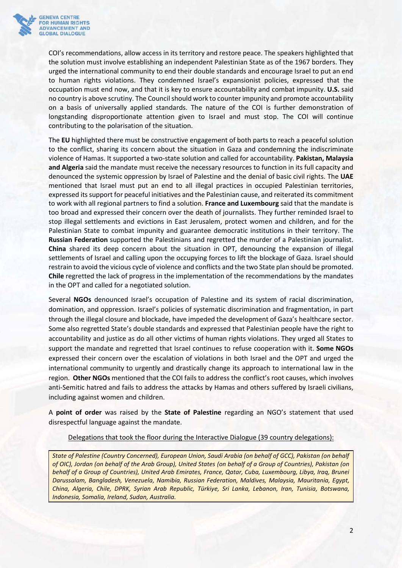

COI's recommendations, allow access in its territory and restore peace. The speakers highlighted that the solution must involve establishing an independent Palestinian State as of the 1967 borders. They urged the international community to end their double standards and encourage Israel to put an end to human rights violations. They condemned Israel's expansionist policies, expressed that the occupation must end now, and that it is key to ensure accountability and combat impunity. **U.S.** said no country is above scrutiny. The Council should work to counter impunity and promote accountability on a basis of universally applied standards. The nature of the COI is further demonstration of longstanding disproportionate attention given to Israel and must stop. The COI will continue contributing to the polarisation of the situation.

The **EU** highlighted there must be constructive engagement of both parts to reach a peaceful solution to the conflict, sharing its concern about the situation in Gaza and condemning the indiscriminate violence of Hamas. It supported a two-state solution and called for accountability. **Pakistan, Malaysia and Algeria** said the mandate must receive the necessary resources to function in its full capacity and denounced the systemic oppression by Israel of Palestine and the denial of basic civil rights. The **UAE** mentioned that Israel must put an end to all illegal practices in occupied Palestinian territories, expressed its support for peaceful initiatives and the Palestinian cause, and reiterated its commitment to work with all regional partners to find a solution. **France and Luxembourg** said that the mandate is too broad and expressed their concern over the death of journalists. They further reminded Israel to stop illegal settlements and evictions in East Jerusalem, protect women and children, and for the Palestinian State to combat impunity and guarantee democratic institutions in their territory. The **Russian Federation** supported the Palestinians and regretted the murder of a Palestinian journalist. **China** shared its deep concern about the situation in OPT, denouncing the expansion of illegal settlements of Israel and calling upon the occupying forces to lift the blockage of Gaza. Israel should restrain to avoid the vicious cycle of violence and conflicts and the two State plan should be promoted. **Chile** regretted the lack of progress in the implementation of the recommendations by the mandates in the OPT and called for a negotiated solution.

Several **NGOs** denounced Israel's occupation of Palestine and its system of racial discrimination, domination, and oppression. Israel's policies of systematic discrimination and fragmentation, in part through the illegal closure and blockade, have impeded the development of Gaza's healthcare sector. Some also regretted State's double standards and expressed that Palestinian people have the right to accountability and justice as do all other victims of human rights violations. They urged all States to support the mandate and regretted that Israel continues to refuse cooperation with it. **Some NGOs** expressed their concern over the escalation of violations in both Israel and the OPT and urged the international community to urgently and drastically change its approach to international law in the region. **Other NGOs** mentioned that the COI fails to address the conflict's root causes, which involves anti-Semitic hatred and fails to address the attacks by Hamas and others suffered by Israeli civilians, including against women and children.

A **point of order** was raised by the **State of Palestine** regarding an NGO's statement that used disrespectful language against the mandate.

#### Delegations that took the floor during the Interactive Dialogue (39 country delegations):

*State of Palestine (Country Concerned), European Union, Saudi Arabia (on behalf of GCC), Pakistan (on behalf of OIC), Jordan (on behalf of the Arab Group), United States (on behalf of a Group of Countries), Pakistan (on behalf of a Group of Countries), United Arab Emirates, France, Qatar, Cuba, Luxembourg, Libya, Iraq, Brunei Darussalam, Bangladesh, Venezuela, Namibia, Russian Federation, Maldives, Malaysia, Mauritania, Egypt, China, Algeria, Chile, DPRK, Syrian Arab Republic, Türkiye, Sri Lanka, Lebanon, Iran, Tunisia, Botswana, Indonesia, Somalia, Ireland, Sudan, Australia.*